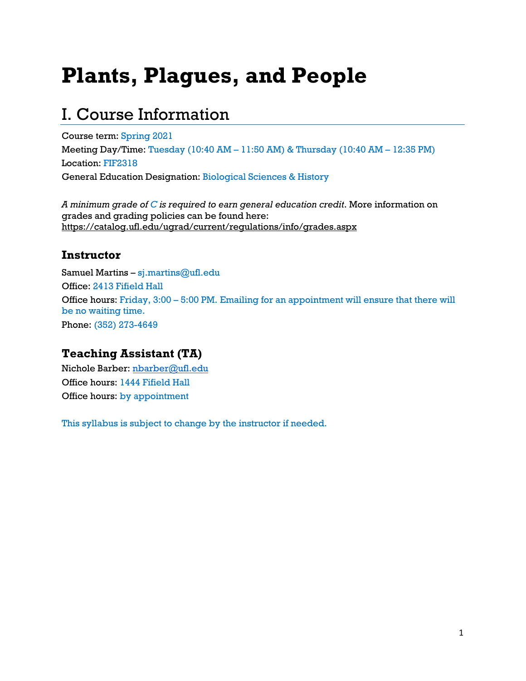# **Plants, Plagues, and People**

### I. Course Information

Course term: Spring 2021 Meeting Day/Time: Tuesday (10:40 AM – 11:50 AM) & Thursday (10:40 AM – 12:35 PM) Location: FIF2318 General Education Designation: Biological Sciences & History

*A minimum grade of C is required to earn general education credit*. More information on grades and grading policies can be found here: https://catalog.ufl.edu/ugrad/current/regulations/info/grades.aspx

### **Instructor**

Samuel Martins – sj.martins@ufl.edu Office: 2413 Fifield Hall Office hours: Friday, 3:00 – 5:00 PM. Emailing for an appointment will ensure that there will be no waiting time. Phone: (352) 273-4649

### **Teaching Assistant (TA)**

Nichole Barber: nbarber@ufl.edu Office hours: 1444 Fifield Hall Office hours: by appointment

This syllabus is subject to change by the instructor if needed.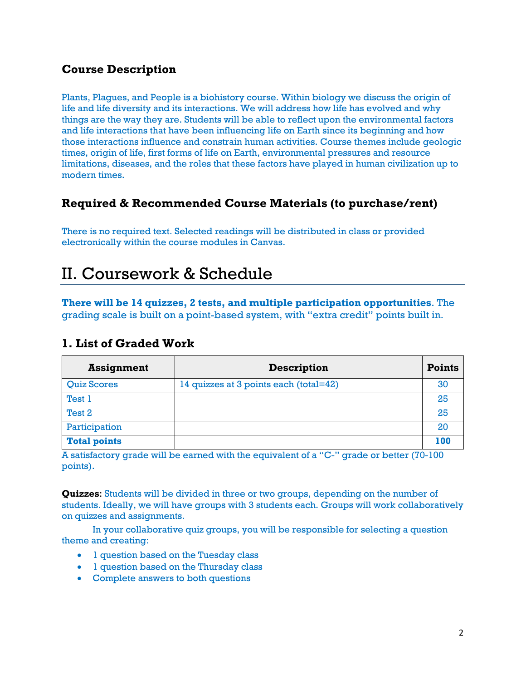### **Course Description**

Plants, Plagues, and People is a biohistory course. Within biology we discuss the origin of life and life diversity and its interactions. We will address how life has evolved and why things are the way they are. Students will be able to reflect upon the environmental factors and life interactions that have been influencing life on Earth since its beginning and how those interactions influence and constrain human activities. Course themes include geologic times, origin of life, first forms of life on Earth, environmental pressures and resource limitations, diseases, and the roles that these factors have played in human civilization up to modern times.

### **Required & Recommended Course Materials (to purchase/rent)**

There is no required text. Selected readings will be distributed in class or provided electronically within the course modules in Canvas.

### II. Coursework & Schedule

**There will be 14 quizzes, 2 tests, and multiple participation opportunities**. The grading scale is built on a point-based system, with "extra credit" points built in.

### **1. List of Graded Work**

| <b>Assignment</b>   | <b>Description</b>                     | <b>Points</b> |
|---------------------|----------------------------------------|---------------|
| <b>Quiz Scores</b>  | 14 quizzes at 3 points each (total=42) | 30            |
| Test 1              |                                        | 25            |
| Test 2              |                                        | 25            |
| Participation       |                                        | 20            |
| <b>Total points</b> |                                        | 100           |

A satisfactory grade will be earned with the equivalent of a "C-" grade or better (70-100 points).

**Quizzes**: Students will be divided in three or two groups, depending on the number of students. Ideally, we will have groups with 3 students each. Groups will work collaboratively on quizzes and assignments.

In your collaborative quiz groups, you will be responsible for selecting a question theme and creating:

- 1 question based on the Tuesday class
- 1 question based on the Thursday class
- Complete answers to both questions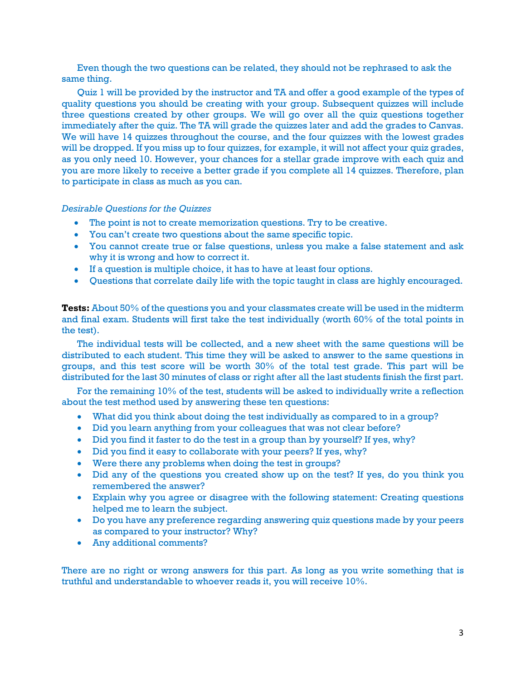Even though the two questions can be related, they should not be rephrased to ask the same thing.

Quiz 1 will be provided by the instructor and TA and offer a good example of the types of quality questions you should be creating with your group. Subsequent quizzes will include three questions created by other groups. We will go over all the quiz questions together immediately after the quiz. The TA will grade the quizzes later and add the grades to Canvas. We will have 14 quizzes throughout the course, and the four quizzes with the lowest grades will be dropped. If you miss up to four quizzes, for example, it will not affect your quiz grades, as you only need 10. However, your chances for a stellar grade improve with each quiz and you are more likely to receive a better grade if you complete all 14 quizzes. Therefore, plan to participate in class as much as you can.

#### *Desirable Questions for the Quizzes*

- The point is not to create memorization questions. Try to be creative.
- You can't create two questions about the same specific topic.
- You cannot create true or false questions, unless you make a false statement and ask why it is wrong and how to correct it.
- If a question is multiple choice, it has to have at least four options.
- Questions that correlate daily life with the topic taught in class are highly encouraged.

**Tests:** About 50% of the questions you and your classmates create will be used in the midterm and final exam. Students will first take the test individually (worth 60% of the total points in the test).

The individual tests will be collected, and a new sheet with the same questions will be distributed to each student. This time they will be asked to answer to the same questions in groups, and this test score will be worth 30% of the total test grade. This part will be distributed for the last 30 minutes of class or right after all the last students finish the first part.

For the remaining 10% of the test, students will be asked to individually write a reflection about the test method used by answering these ten questions:

- What did you think about doing the test individually as compared to in a group?
- Did you learn anything from your colleagues that was not clear before?
- Did you find it faster to do the test in a group than by yourself? If yes, why?
- Did you find it easy to collaborate with your peers? If yes, why?
- Were there any problems when doing the test in groups?
- Did any of the questions you created show up on the test? If yes, do you think you remembered the answer?
- Explain why you agree or disagree with the following statement: Creating questions helped me to learn the subject.
- Do you have any preference regarding answering quiz questions made by your peers as compared to your instructor? Why?
- Any additional comments?

There are no right or wrong answers for this part. As long as you write something that is truthful and understandable to whoever reads it, you will receive 10%.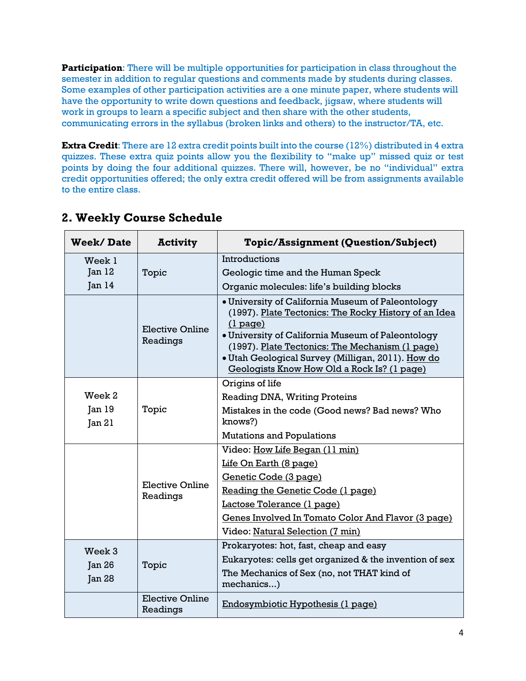**Participation:** There will be multiple opportunities for participation in class throughout the semester in addition to regular questions and comments made by students during classes. Some examples of other participation activities are a one minute paper, where students will have the opportunity to write down questions and feedback, jigsaw, where students will work in groups to learn a specific subject and then share with the other students, communicating errors in the syllabus (broken links and others) to the instructor/TA, etc.

**Extra Credit**: There are 12 extra credit points built into the course (12%) distributed in 4 extra quizzes. These extra quiz points allow you the flexibility to "make up" missed quiz or test points by doing the four additional quizzes. There will, however, be no "individual" extra credit opportunities offered; the only extra credit offered will be from assignments available to the entire class.

| <b>Week/Date</b>  | <b>Activity</b>                    | <b>Topic/Assignment (Question/Subject)</b>                                                                                                                                                                                                                                                                                           |
|-------------------|------------------------------------|--------------------------------------------------------------------------------------------------------------------------------------------------------------------------------------------------------------------------------------------------------------------------------------------------------------------------------------|
| Week 1            |                                    | Introductions                                                                                                                                                                                                                                                                                                                        |
| Jan <sub>12</sub> | Topic                              | Geologic time and the Human Speck                                                                                                                                                                                                                                                                                                    |
| Jan <sub>14</sub> |                                    | Organic molecules: life's building blocks                                                                                                                                                                                                                                                                                            |
|                   | Elective Online<br>Readings        | • University of California Museum of Paleontology<br>(1997). Plate Tectonics: The Rocky History of an Idea<br>$(1$ page)<br>• University of California Museum of Paleontology<br>(1997). Plate Tectonics: The Mechanism (1 page)<br>• Utah Geological Survey (Milligan, 2011). How do<br>Geologists Know How Old a Rock Is? (1 page) |
|                   |                                    | Origins of life                                                                                                                                                                                                                                                                                                                      |
| Week 2            |                                    | <b>Reading DNA, Writing Proteins</b>                                                                                                                                                                                                                                                                                                 |
| Jan <sub>19</sub> | Topic                              | Mistakes in the code (Good news? Bad news? Who                                                                                                                                                                                                                                                                                       |
| Jan 21            |                                    | knows?)                                                                                                                                                                                                                                                                                                                              |
|                   |                                    | <b>Mutations and Populations</b>                                                                                                                                                                                                                                                                                                     |
|                   |                                    | Video: How Life Began (11 min)                                                                                                                                                                                                                                                                                                       |
|                   | Elective Online<br>Readings        | Life On Earth (8 page)                                                                                                                                                                                                                                                                                                               |
|                   |                                    | Genetic Code (3 page)                                                                                                                                                                                                                                                                                                                |
|                   |                                    | Reading the Genetic Code (1 page)                                                                                                                                                                                                                                                                                                    |
|                   |                                    | Lactose Tolerance (1 page)                                                                                                                                                                                                                                                                                                           |
|                   |                                    | Genes Involved In Tomato Color And Flavor (3 page)                                                                                                                                                                                                                                                                                   |
|                   |                                    | Video: Natural Selection (7 min)                                                                                                                                                                                                                                                                                                     |
| Week 3            |                                    | Prokaryotes: hot, fast, cheap and easy                                                                                                                                                                                                                                                                                               |
| Jan <sub>26</sub> | Topic                              | Eukaryotes: cells get organized & the invention of sex                                                                                                                                                                                                                                                                               |
| <b>Jan 28</b>     |                                    | The Mechanics of Sex (no, not THAT kind of<br>mechanics)                                                                                                                                                                                                                                                                             |
|                   | <b>Elective Online</b><br>Readings | Endosymbiotic Hypothesis (1 page)                                                                                                                                                                                                                                                                                                    |

### **2. Weekly Course Schedule**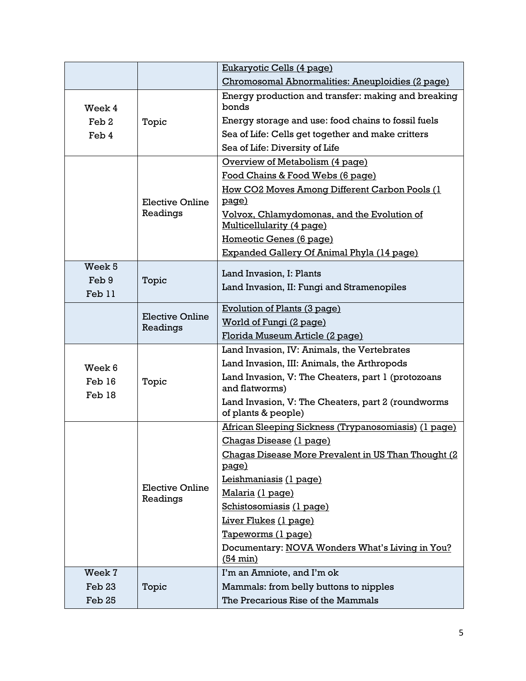|                   |                                    | Eukaryotic Cells (4 page)                                                 |  |
|-------------------|------------------------------------|---------------------------------------------------------------------------|--|
|                   |                                    | Chromosomal Abnormalities: Aneuploidies (2 page)                          |  |
| Week 4            |                                    | Energy production and transfer: making and breaking<br>bonds              |  |
| Feb <sub>2</sub>  | Topic                              | Energy storage and use: food chains to fossil fuels                       |  |
| Feb 4             |                                    | Sea of Life: Cells get together and make critters                         |  |
|                   |                                    | Sea of Life: Diversity of Life                                            |  |
|                   |                                    | Overview of Metabolism (4 page)                                           |  |
|                   | <b>Elective Online</b><br>Readings | Food Chains & Food Webs (6 page)                                          |  |
|                   |                                    | How CO2 Moves Among Different Carbon Pools (1                             |  |
|                   |                                    | page)                                                                     |  |
|                   |                                    | Volvox, Chlamydomonas, and the Evolution of                               |  |
|                   |                                    | Multicellularity (4 page)                                                 |  |
|                   |                                    | Homeotic Genes (6 page)                                                   |  |
| Week <sub>5</sub> |                                    | Expanded Gallery Of Animal Phyla (14 page)                                |  |
|                   |                                    | Land Invasion, I: Plants                                                  |  |
| Feb 9<br>Feb 11   | Topic                              | Land Invasion, II: Fungi and Stramenopiles                                |  |
|                   |                                    | Evolution of Plants (3 page)                                              |  |
|                   | <b>Elective Online</b><br>Readings | World of Fungi (2 page)                                                   |  |
|                   |                                    | Florida Museum Article (2 page)                                           |  |
|                   |                                    | Land Invasion, IV: Animals, the Vertebrates                               |  |
| Week 6            |                                    | Land Invasion, III: Animals, the Arthropods                               |  |
| Feb 16<br>Feb 18  | Topic                              | Land Invasion, V: The Cheaters, part 1 (protozoans<br>and flatworms)      |  |
|                   |                                    | Land Invasion, V: The Cheaters, part 2 (roundworms<br>of plants & people) |  |
|                   |                                    | African Sleeping Sickness (Trypanosomiasis) (1 page)                      |  |
|                   |                                    | Chagas Disease (1 page)                                                   |  |
|                   |                                    | Chagas Disease More Prevalent in US Than Thought (2<br>page)              |  |
|                   |                                    | Leishmaniasis (1 page)                                                    |  |
|                   | <b>Elective Online</b><br>Readings | <u> Malaria (1 page)</u>                                                  |  |
|                   |                                    | Schistosomiasis (1 page)                                                  |  |
|                   |                                    | Liver Flukes (1 page)                                                     |  |
|                   |                                    | Tapeworms (1 page)                                                        |  |
|                   |                                    | Documentary: NOVA Wonders What's Living in You?<br>$(54 \text{ min})$     |  |
| Week 7            |                                    | I'm an Amniote, and I'm ok                                                |  |
| Feb 23            | Topic                              | Mammals: from belly buttons to nipples                                    |  |
| Feb 25            |                                    | The Precarious Rise of the Mammals                                        |  |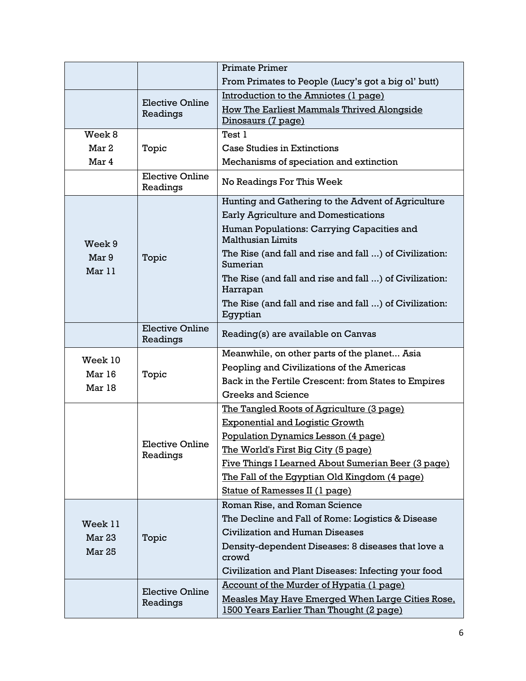|                 |                                    | <b>Primate Primer</b>                                                                        |  |
|-----------------|------------------------------------|----------------------------------------------------------------------------------------------|--|
|                 |                                    | From Primates to People (Lucy's got a big ol' butt)                                          |  |
|                 |                                    | Introduction to the Amniotes (1 page)                                                        |  |
|                 | <b>Elective Online</b><br>Readings | <b>How The Earliest Mammals Thrived Alongside</b>                                            |  |
|                 |                                    | Dinosaurs (7 page)                                                                           |  |
| Week 8          |                                    | Test 1                                                                                       |  |
| Mar 2           | Topic                              | <b>Case Studies in Extinctions</b>                                                           |  |
| Mar 4           |                                    | Mechanisms of speciation and extinction                                                      |  |
|                 | <b>Elective Online</b><br>Readings | No Readings For This Week                                                                    |  |
|                 | Topic                              | Hunting and Gathering to the Advent of Agriculture                                           |  |
|                 |                                    | <b>Early Agriculture and Domestications</b>                                                  |  |
| Week 9          |                                    | Human Populations: Carrying Capacities and<br><b>Malthusian Limits</b>                       |  |
| Mar 9<br>Mar 11 |                                    | The Rise (and fall and rise and fall ) of Civilization:<br>Sumerian                          |  |
|                 |                                    | The Rise (and fall and rise and fall ) of Civilization:<br>Harrapan                          |  |
|                 |                                    | The Rise (and fall and rise and fall ) of Civilization:<br>Egyptian                          |  |
|                 | <b>Elective Online</b><br>Readings | Reading(s) are available on Canvas                                                           |  |
| Week 10         |                                    | Meanwhile, on other parts of the planet Asia                                                 |  |
| Mar 16          | Topic                              | Peopling and Civilizations of the Americas                                                   |  |
| Mar 18          |                                    | Back in the Fertile Crescent: from States to Empires                                         |  |
|                 |                                    | <b>Greeks and Science</b>                                                                    |  |
|                 |                                    | The Tangled Roots of Agriculture (3 page)                                                    |  |
|                 | <b>Elective Online</b><br>Readings | <b>Exponential and Logistic Growth</b>                                                       |  |
|                 |                                    | Population Dynamics Lesson (4 page)                                                          |  |
|                 |                                    | <u>The World's First Big City (5 page)</u>                                                   |  |
|                 |                                    | Five Things I Learned About Sumerian Beer (3 page)                                           |  |
|                 |                                    | The Fall of the Egyptian Old Kingdom (4 page)                                                |  |
|                 |                                    | Statue of Ramesses II (1 page)                                                               |  |
|                 |                                    | Roman Rise, and Roman Science                                                                |  |
| Week 11         | Topic                              | The Decline and Fall of Rome: Logistics & Disease                                            |  |
| Mar 23          |                                    | Civilization and Human Diseases                                                              |  |
| <b>Mar 25</b>   |                                    | Density-dependent Diseases: 8 diseases that love a<br>crowd                                  |  |
|                 |                                    | Civilization and Plant Diseases: Infecting your food                                         |  |
|                 |                                    | Account of the Murder of Hypatia (1 page)                                                    |  |
|                 | <b>Elective Online</b><br>Readings | Measles May Have Emerged When Large Cities Rose,<br>1500 Years Earlier Than Thought (2 page) |  |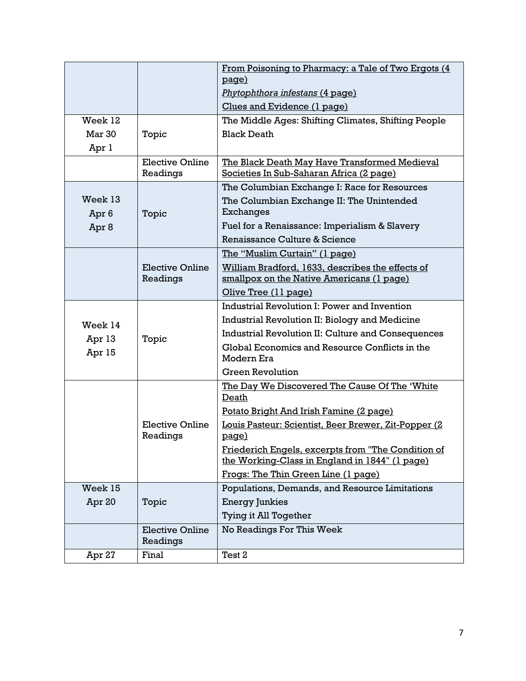|                  |                                    | From Poisoning to Pharmacy: a Tale of Two Ergots (4<br>page)                              |  |
|------------------|------------------------------------|-------------------------------------------------------------------------------------------|--|
|                  |                                    | Phytophthora infestans (4 page)                                                           |  |
|                  |                                    | Clues and Evidence (1 page)                                                               |  |
| Week 12          |                                    | The Middle Ages: Shifting Climates, Shifting People                                       |  |
| Mar 30           | Topic                              | <b>Black Death</b>                                                                        |  |
|                  |                                    |                                                                                           |  |
| Apr 1            | <b>Elective Online</b>             |                                                                                           |  |
|                  | Readings                           | The Black Death May Have Transformed Medieval<br>Societies In Sub-Saharan Africa (2 page) |  |
|                  |                                    | The Columbian Exchange I: Race for Resources                                              |  |
| Week 13          |                                    | The Columbian Exchange II: The Unintended<br><b>Exchanges</b>                             |  |
| Apr <sub>6</sub> | Topic                              | Fuel for a Renaissance: Imperialism & Slavery                                             |  |
| Apr <sub>8</sub> |                                    | Renaissance Culture & Science                                                             |  |
|                  |                                    | The "Muslim Curtain" (1 page)                                                             |  |
|                  | Elective Online                    | William Bradford, 1633, describes the effects of                                          |  |
|                  | Readings                           | smallpox on the Native Americans (1 page)                                                 |  |
|                  |                                    | Olive Tree (11 page)                                                                      |  |
|                  |                                    | Industrial Revolution I: Power and Invention                                              |  |
|                  |                                    | Industrial Revolution II: Biology and Medicine                                            |  |
| Week 14          |                                    | Industrial Revolution II: Culture and Consequences                                        |  |
| Apr 13<br>Apr 15 | Topic                              | Global Economics and Resource Conflicts in the<br>Modern Era                              |  |
|                  |                                    | <b>Green Revolution</b>                                                                   |  |
|                  |                                    | The Day We Discovered The Cause Of The 'White'                                            |  |
|                  |                                    | Death                                                                                     |  |
|                  |                                    | Potato Bright And Irish Famine (2 page)                                                   |  |
|                  | <b>Elective Online</b><br>Readings | Louis Pasteur: Scientist, Beer Brewer, Zit-Popper (2<br><u>page)</u>                      |  |
|                  |                                    | Friederich Engels, excerpts from "The Condition of                                        |  |
|                  |                                    | the Working-Class in England in 1844" (1 page)                                            |  |
|                  |                                    | Frogs: The Thin Green Line (1 page)                                                       |  |
| Week 15          |                                    | Populations, Demands, and Resource Limitations                                            |  |
| Apr 20           | Topic                              | <b>Energy Junkies</b>                                                                     |  |
|                  |                                    | Tying it All Together                                                                     |  |
|                  | <b>Elective Online</b>             | No Readings For This Week                                                                 |  |
|                  | Readings                           |                                                                                           |  |
| Apr 27           | Final                              | Test 2                                                                                    |  |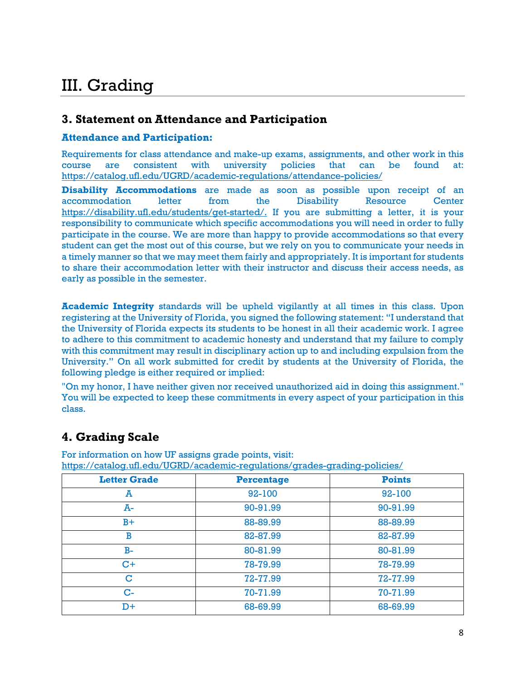## III. Grading

### **3. Statement on Attendance and Participation**

#### **Attendance and Participation:**

Requirements for class attendance and make-up exams, assignments, and other work in this course are consistent with university policies that can be found at: https://catalog.ufl.edu/UGRD/academic-regulations/attendance-policies/

**Disability Accommodations** are made as soon as possible upon receipt of an accommodation letter from the Disability Resource Center https://disability.ufl.edu/students/get-started/. If you are submitting a letter, it is your responsibility to communicate which specific accommodations you will need in order to fully participate in the course. We are more than happy to provide accommodations so that every student can get the most out of this course, but we rely on you to communicate your needs in a timely manner so that we may meet them fairly and appropriately. It is important for students to share their accommodation letter with their instructor and discuss their access needs, as early as possible in the semester.

**Academic Integrity** standards will be upheld vigilantly at all times in this class. Upon registering at the University of Florida, you signed the following statement: "I understand that the University of Florida expects its students to be honest in all their academic work. I agree to adhere to this commitment to academic honesty and understand that my failure to comply with this commitment may result in disciplinary action up to and including expulsion from the University." On all work submitted for credit by students at the University of Florida, the following pledge is either required or implied:

"On my honor, I have neither given nor received unauthorized aid in doing this assignment." You will be expected to keep these commitments in every aspect of your participation in this class.

### **4. Grading Scale**

For information on how UF assigns grade points, visit: https://catalog.ufl.edu/UGRD/academic-regulations/grades-grading-policies/

| <b>Letter Grade</b> | <b>Percentage</b> | <b>Points</b> |
|---------------------|-------------------|---------------|
| A                   | $92 - 100$        | 92-100        |
| A-                  | 90-91.99          | 90-91.99      |
| $B+$                | 88-89.99          | 88-89.99      |
| B                   | 82-87.99          | 82-87.99      |
| $B-$                | 80-81.99          | 80-81.99      |
| $C+$                | 78-79.99          | 78-79.99      |
| $\mathbf C$         | 72-77.99          | 72-77.99      |
| $C-$                | 70-71.99          | 70-71.99      |
| D+                  | 68-69.99          | 68-69.99      |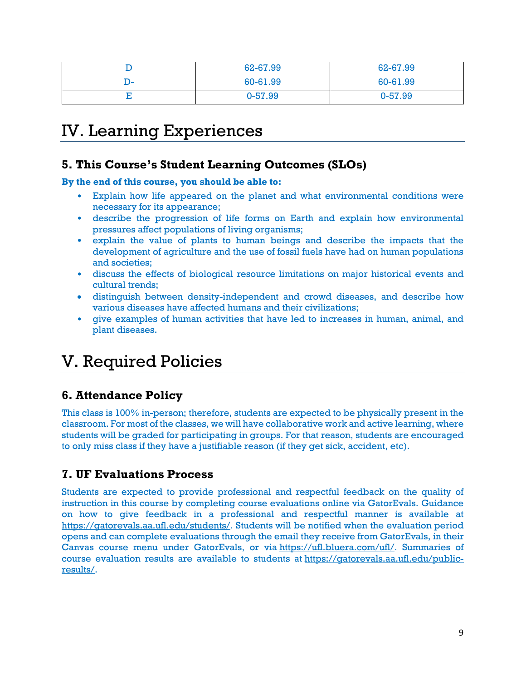|     | 62-67.99 | 62-67.99 |
|-----|----------|----------|
| יש- | 60-61.99 | 60-61.99 |
| ∸   | 0-57.99  | 0-57.99  |

### IV. Learning Experiences

### **5. This Course's Student Learning Outcomes (SLOs)**

**By the end of this course, you should be able to:**

- Explain how life appeared on the planet and what environmental conditions were necessary for its appearance;
- describe the progression of life forms on Earth and explain how environmental pressures affect populations of living organisms;
- explain the value of plants to human beings and describe the impacts that the development of agriculture and the use of fossil fuels have had on human populations and societies;
- discuss the effects of biological resource limitations on major historical events and cultural trends;
- distinguish between density-independent and crowd diseases, and describe how various diseases have affected humans and their civilizations;
- give examples of human activities that have led to increases in human, animal, and plant diseases.

### V. Required Policies

### **6. Attendance Policy**

This class is 100% in-person; therefore, students are expected to be physically present in the classroom. For most of the classes, we will have collaborative work and active learning, where students will be graded for participating in groups. For that reason, students are encouraged to only miss class if they have a justifiable reason (if they get sick, accident, etc).

### **7. UF Evaluations Process**

Students are expected to provide professional and respectful feedback on the quality of instruction in this course by completing course evaluations online via GatorEvals. Guidance on how to give feedback in a professional and respectful manner is available at https://gatorevals.aa.ufl.edu/students/. Students will be notified when the evaluation period opens and can complete evaluations through the email they receive from GatorEvals, in their Canvas course menu under GatorEvals, or via https://ufl.bluera.com/ufl/. Summaries of course evaluation results are available to students at https://gatorevals.aa.ufl.edu/publicresults/.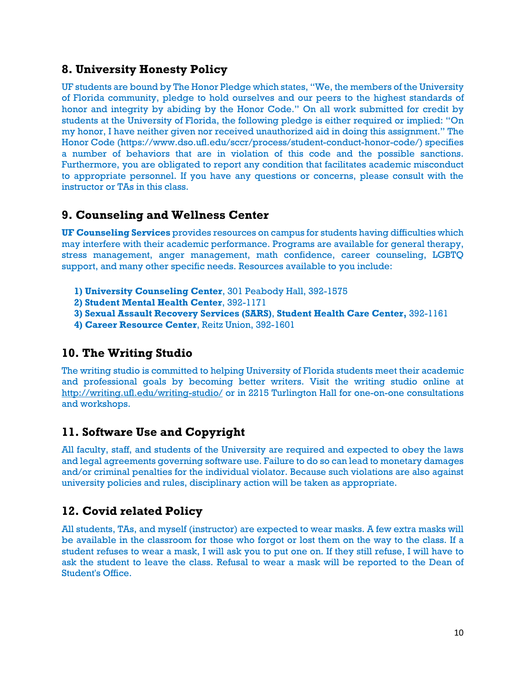### **8. University Honesty Policy**

UF students are bound by The Honor Pledge which states, "We, the members of the University of Florida community, pledge to hold ourselves and our peers to the highest standards of honor and integrity by abiding by the Honor Code." On all work submitted for credit by students at the University of Florida, the following pledge is either required or implied: "On my honor, I have neither given nor received unauthorized aid in doing this assignment." The Honor Code (https://www.dso.ufl.edu/sccr/process/student-conduct-honor-code/) specifies a number of behaviors that are in violation of this code and the possible sanctions. Furthermore, you are obligated to report any condition that facilitates academic misconduct to appropriate personnel. If you have any questions or concerns, please consult with the instructor or TAs in this class.

#### **9. Counseling and Wellness Center**

**UF Counseling Services** provides resources on campus for students having difficulties which may interfere with their academic performance. Programs are available for general therapy, stress management, anger management, math confidence, career counseling, LGBTQ support, and many other specific needs. Resources available to you include:

- **1) University Counseling Center**, 301 Peabody Hall, 392-1575
- **2) Student Mental Health Center**, 392-1171
- **3) Sexual Assault Recovery Services (SARS)**, **Student Health Care Center,** 392-1161
- **4) Career Resource Center**, Reitz Union, 392-1601

### **10. The Writing Studio**

The writing studio is committed to helping University of Florida students meet their academic and professional goals by becoming better writers. Visit the writing studio online at http://writing.ufl.edu/writing-studio/ or in 2215 Turlington Hall for one-on-one consultations and workshops.

### **11. Software Use and Copyright**

All faculty, staff, and students of the University are required and expected to obey the laws and legal agreements governing software use. Failure to do so can lead to monetary damages and/or criminal penalties for the individual violator. Because such violations are also against university policies and rules, disciplinary action will be taken as appropriate.

### **12. Covid related Policy**

All students, TAs, and myself (instructor) are expected to wear masks. A few extra masks will be available in the classroom for those who forgot or lost them on the way to the class. If a student refuses to wear a mask, I will ask you to put one on. If they still refuse, I will have to ask the student to leave the class. Refusal to wear a mask will be reported to the Dean of Student's Office.